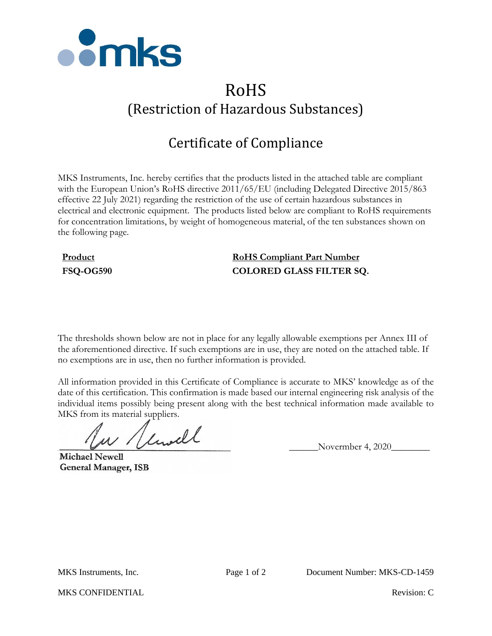

# RoHS (Restriction of Hazardous Substances)

## Certificate of Compliance

MKS Instruments, Inc. hereby certifies that the products listed in the attached table are compliant with the European Union's RoHS directive 2011/65/EU (including Delegated Directive 2015/863 effective 22 July 2021) regarding the restriction of the use of certain hazardous substances in electrical and electronic equipment. The products listed below are compliant to RoHS requirements for concentration limitations, by weight of homogeneous material, of the ten substances shown on the following page.

### **Product RoHS Compliant Part Number FSQ-OG590 COLORED GLASS FILTER SQ.**

The thresholds shown below are not in place for any legally allowable exemptions per Annex III of the aforementioned directive. If such exemptions are in use, they are noted on the attached table. If no exemptions are in use, then no further information is provided.

All information provided in this Certificate of Compliance is accurate to MKS' knowledge as of the date of this certification. This confirmation is made based our internal engineering risk analysis of the individual items possibly being present along with the best technical information made available to MKS from its material suppliers.

 $\mu$  / limitle Novermber 4, 2020

**Michael Newell General Manager, ISB** 

MKS CONFIDENTIAL **Revision:** C